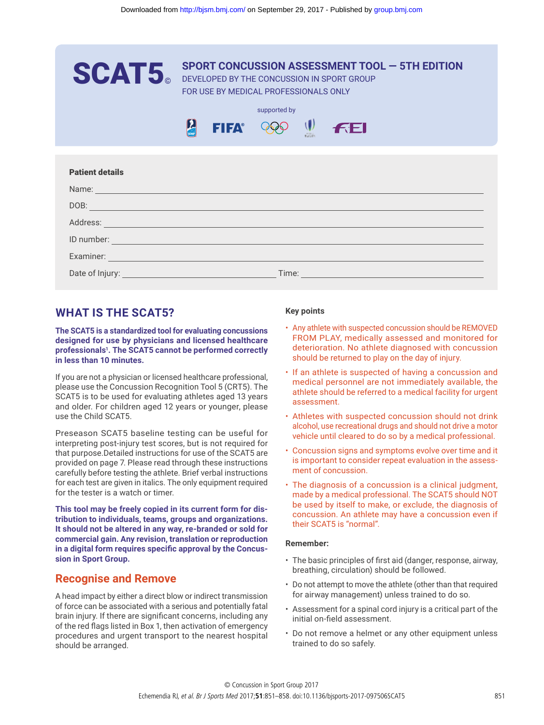| <b>SCAT5</b>                                                                                                                                                                                                                                                                                                                                                                                                                                                                                                                                                                                                                                                                                                                                                                                                                                                                                                                                                                                                                                                                                                                                                                                                                                                                              | <b>SPORT CONCUSSION ASSESSMENT TOOL - 5TH EDITION</b>                                                                                                                                                                                                                                                                                                                                                                                                                                                                                                                                                                                                                                                                                                                                                                                                                                                                                                                                                                                                                                                                 |
|-------------------------------------------------------------------------------------------------------------------------------------------------------------------------------------------------------------------------------------------------------------------------------------------------------------------------------------------------------------------------------------------------------------------------------------------------------------------------------------------------------------------------------------------------------------------------------------------------------------------------------------------------------------------------------------------------------------------------------------------------------------------------------------------------------------------------------------------------------------------------------------------------------------------------------------------------------------------------------------------------------------------------------------------------------------------------------------------------------------------------------------------------------------------------------------------------------------------------------------------------------------------------------------------|-----------------------------------------------------------------------------------------------------------------------------------------------------------------------------------------------------------------------------------------------------------------------------------------------------------------------------------------------------------------------------------------------------------------------------------------------------------------------------------------------------------------------------------------------------------------------------------------------------------------------------------------------------------------------------------------------------------------------------------------------------------------------------------------------------------------------------------------------------------------------------------------------------------------------------------------------------------------------------------------------------------------------------------------------------------------------------------------------------------------------|
|                                                                                                                                                                                                                                                                                                                                                                                                                                                                                                                                                                                                                                                                                                                                                                                                                                                                                                                                                                                                                                                                                                                                                                                                                                                                                           | DEVELOPED BY THE CONCUSSION IN SPORT GROUP<br>FOR USE BY MEDICAL PROFESSIONALS ONLY                                                                                                                                                                                                                                                                                                                                                                                                                                                                                                                                                                                                                                                                                                                                                                                                                                                                                                                                                                                                                                   |
|                                                                                                                                                                                                                                                                                                                                                                                                                                                                                                                                                                                                                                                                                                                                                                                                                                                                                                                                                                                                                                                                                                                                                                                                                                                                                           | supported by                                                                                                                                                                                                                                                                                                                                                                                                                                                                                                                                                                                                                                                                                                                                                                                                                                                                                                                                                                                                                                                                                                          |
| $\sum_{\text{max}}$<br><b>FIFA®</b>                                                                                                                                                                                                                                                                                                                                                                                                                                                                                                                                                                                                                                                                                                                                                                                                                                                                                                                                                                                                                                                                                                                                                                                                                                                       | $\mathbf{U}$<br><b>FEI</b>                                                                                                                                                                                                                                                                                                                                                                                                                                                                                                                                                                                                                                                                                                                                                                                                                                                                                                                                                                                                                                                                                            |
|                                                                                                                                                                                                                                                                                                                                                                                                                                                                                                                                                                                                                                                                                                                                                                                                                                                                                                                                                                                                                                                                                                                                                                                                                                                                                           |                                                                                                                                                                                                                                                                                                                                                                                                                                                                                                                                                                                                                                                                                                                                                                                                                                                                                                                                                                                                                                                                                                                       |
| <b>Patient details</b><br>Name: Name: Name: Name: Name: Name: Name: Name: Name: Name: Name: Name: Name: Name: Name: Name: Name: Name: Name: Name: Name: Name: Name: Name: Name: Name: Name: Name: Name: Name: Name: Name: Name: Name: Name: Name: Name:                                                                                                                                                                                                                                                                                                                                                                                                                                                                                                                                                                                                                                                                                                                                                                                                                                                                                                                                                                                                                                   |                                                                                                                                                                                                                                                                                                                                                                                                                                                                                                                                                                                                                                                                                                                                                                                                                                                                                                                                                                                                                                                                                                                       |
|                                                                                                                                                                                                                                                                                                                                                                                                                                                                                                                                                                                                                                                                                                                                                                                                                                                                                                                                                                                                                                                                                                                                                                                                                                                                                           |                                                                                                                                                                                                                                                                                                                                                                                                                                                                                                                                                                                                                                                                                                                                                                                                                                                                                                                                                                                                                                                                                                                       |
|                                                                                                                                                                                                                                                                                                                                                                                                                                                                                                                                                                                                                                                                                                                                                                                                                                                                                                                                                                                                                                                                                                                                                                                                                                                                                           | Address: North Address: North Address: North Address: North Address: North Address: North Address: North Address: North Address: North Address: North Address: North Address: North Address: North Address: North Address: Nor                                                                                                                                                                                                                                                                                                                                                                                                                                                                                                                                                                                                                                                                                                                                                                                                                                                                                        |
|                                                                                                                                                                                                                                                                                                                                                                                                                                                                                                                                                                                                                                                                                                                                                                                                                                                                                                                                                                                                                                                                                                                                                                                                                                                                                           | ID number: <u>with the contract of the contract of the contract of the contract of the contract of the contract of the contract of the contract of the contract of the contract of the contract of the contract of the contract </u>                                                                                                                                                                                                                                                                                                                                                                                                                                                                                                                                                                                                                                                                                                                                                                                                                                                                                  |
|                                                                                                                                                                                                                                                                                                                                                                                                                                                                                                                                                                                                                                                                                                                                                                                                                                                                                                                                                                                                                                                                                                                                                                                                                                                                                           |                                                                                                                                                                                                                                                                                                                                                                                                                                                                                                                                                                                                                                                                                                                                                                                                                                                                                                                                                                                                                                                                                                                       |
|                                                                                                                                                                                                                                                                                                                                                                                                                                                                                                                                                                                                                                                                                                                                                                                                                                                                                                                                                                                                                                                                                                                                                                                                                                                                                           |                                                                                                                                                                                                                                                                                                                                                                                                                                                                                                                                                                                                                                                                                                                                                                                                                                                                                                                                                                                                                                                                                                                       |
|                                                                                                                                                                                                                                                                                                                                                                                                                                                                                                                                                                                                                                                                                                                                                                                                                                                                                                                                                                                                                                                                                                                                                                                                                                                                                           |                                                                                                                                                                                                                                                                                                                                                                                                                                                                                                                                                                                                                                                                                                                                                                                                                                                                                                                                                                                                                                                                                                                       |
| <b>WHAT IS THE SCAT5?</b>                                                                                                                                                                                                                                                                                                                                                                                                                                                                                                                                                                                                                                                                                                                                                                                                                                                                                                                                                                                                                                                                                                                                                                                                                                                                 | <b>Key points</b>                                                                                                                                                                                                                                                                                                                                                                                                                                                                                                                                                                                                                                                                                                                                                                                                                                                                                                                                                                                                                                                                                                     |
| The SCAT5 is a standardized tool for evaluating concussions<br>designed for use by physicians and licensed healthcare<br>professionals <sup>1</sup> . The SCAT5 cannot be performed correctly<br>in less than 10 minutes.<br>f you are not a physician or licensed healthcare professional,<br>please use the Concussion Recognition Tool 5 (CRT5). The<br>SCAT5 is to be used for evaluating athletes aged 13 years<br>and older. For children aged 12 years or younger, please<br>use the Child SCAT5.<br>Preseason SCAT5 baseline testing can be useful for<br>nterpreting post-injury test scores, but is not required for<br>that purpose.Detailed instructions for use of the SCAT5 are<br>provided on page 7. Please read through these instructions<br>carefully before testing the athlete. Brief verbal instructions<br>for each test are given in italics. The only equipment required<br>for the tester is a watch or timer.<br>This tool may be freely copied in its current form for dis-<br>tribution to individuals, teams, groups and organizations.<br>It should not be altered in any way, re-branded or sold for<br>commercial gain. Any revision, translation or reproduction<br>in a digital form requires specific approval by the Concus-<br>sion in Sport Group. | • Any athlete with suspected concussion should be REMOVED<br>FROM PLAY, medically assessed and monitored for<br>deterioration. No athlete diagnosed with concussion<br>should be returned to play on the day of injury.<br>• If an athlete is suspected of having a concussion and<br>medical personnel are not immediately available, the<br>athlete should be referred to a medical facility for urgent<br>assessment.<br>• Athletes with suspected concussion should not drink<br>alcohol, use recreational drugs and should not drive a motor<br>vehicle until cleared to do so by a medical professional.<br>• Concussion signs and symptoms evolve over time and it<br>is important to consider repeat evaluation in the assess-<br>ment of concussion.<br>• The diagnosis of a concussion is a clinical judgment,<br>made by a medical professional. The SCAT5 should NOT<br>be used by itself to make, or exclude, the diagnosis of<br>concussion. An athlete may have a concussion even if<br>their SCAT5 is "normal".<br><b>Remember:</b><br>• The basic principles of first aid (danger, response, airway, |
| <b>Recognise and Remove</b>                                                                                                                                                                                                                                                                                                                                                                                                                                                                                                                                                                                                                                                                                                                                                                                                                                                                                                                                                                                                                                                                                                                                                                                                                                                               | breathing, circulation) should be followed.                                                                                                                                                                                                                                                                                                                                                                                                                                                                                                                                                                                                                                                                                                                                                                                                                                                                                                                                                                                                                                                                           |
| A head impact by either a direct blow or indirect transmission                                                                                                                                                                                                                                                                                                                                                                                                                                                                                                                                                                                                                                                                                                                                                                                                                                                                                                                                                                                                                                                                                                                                                                                                                            | • Do not attempt to move the athlete (other than that required<br>for airway management) unless trained to do so.                                                                                                                                                                                                                                                                                                                                                                                                                                                                                                                                                                                                                                                                                                                                                                                                                                                                                                                                                                                                     |
| of force can be associated with a serious and potentially fatal<br>orain injury. If there are significant concerns, including any                                                                                                                                                                                                                                                                                                                                                                                                                                                                                                                                                                                                                                                                                                                                                                                                                                                                                                                                                                                                                                                                                                                                                         | • Assessment for a spinal cord injury is a critical part of the<br>initial on-field assessment.                                                                                                                                                                                                                                                                                                                                                                                                                                                                                                                                                                                                                                                                                                                                                                                                                                                                                                                                                                                                                       |
| of the red flags listed in Box 1, then activation of emergency                                                                                                                                                                                                                                                                                                                                                                                                                                                                                                                                                                                                                                                                                                                                                                                                                                                                                                                                                                                                                                                                                                                                                                                                                            |                                                                                                                                                                                                                                                                                                                                                                                                                                                                                                                                                                                                                                                                                                                                                                                                                                                                                                                                                                                                                                                                                                                       |

## **WHAT IS THE SCAT5?**

### **Recognise and Remove**

### **Key points**

- Any athlete with suspected concussion should be REMOVED FROM PLAY, medically assessed and monitored for deterioration. No athlete diagnosed with concussion should be returned to play on the day of injury.
- If an athlete is suspected of having a concussion and medical personnel are not immediately available, the athlete should be referred to a medical facility for urgent assessment.
- Athletes with suspected concussion should not drink alcohol, use recreational drugs and should not drive a motor vehicle until cleared to do so by a medical professional.
- Concussion signs and symptoms evolve over time and it is important to consider repeat evaluation in the assessment of concussion.
- The diagnosis of a concussion is a clinical judgment, made by a medical professional. The SCAT5 should NOT be used by itself to make, or exclude, the diagnosis of concussion. An athlete may have a concussion even if their SCAT5 is "normal".

### **Remember:**

- The basic principles of first aid (danger, response, airway, breathing, circulation) should be followed.
- Do not attempt to move the athlete (other than that required for airway management) unless trained to do so.
- Assessment for a spinal cord injury is a critical part of the initial on-field assessment.
- Do not remove a helmet or any other equipment unless trained to do so safely.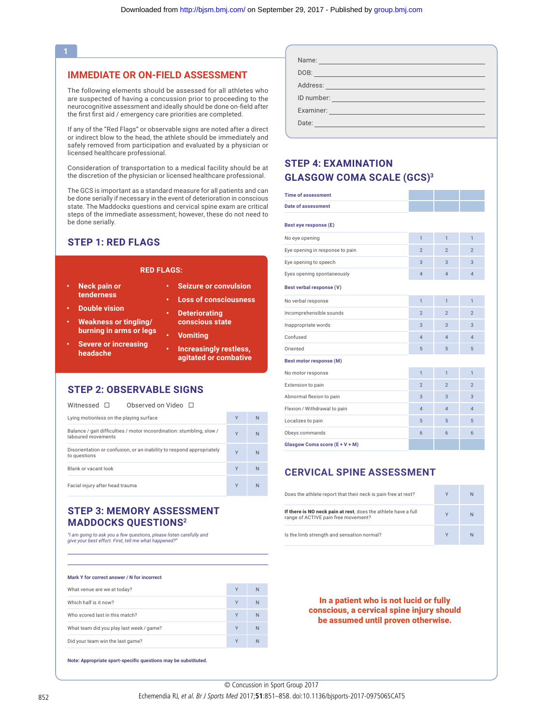### **1**

### **IMMEDIATE OR ON-FIELD ASSESSMENT**

The following elements should be assessed for all athletes who are suspected of having a concussion prior to proceeding to the neurocognitive assessment and ideally should be done on-field after the first first aid / emergency care priorities are completed.

If any of the "Red Flags" or observable signs are noted after a direct or indirect blow to the head, the athlete should be immediately and safely removed from participation and evaluated by a physician or licensed healthcare professional.

Consideration of transportation to a medical facility should be at the discretion of the physician or licensed healthcare professional.

The GCS is important as a standard measure for all patients and can be done serially if necessary in the event of deterioration in conscious state. The Maddocks questions and cervical spine exam are critical steps of the immediate assessment; however, these do not need to be done serially.

### **STEP 1: RED FLAGS**

#### **RED FLAGS:**

- **• Neck pain or tenderness**
- **• Double vision**
- **• Weakness or tingling/ burning in arms or legs**
- **• Severe or increasing headache**
- **• Loss of consciousness • Deteriorating**

**• Seizure or convulsion** 

- **conscious state**
	- **• Vomiting**
	- **• Increasingly restless, agitated or combative**

### **STEP 2: OBSERVABLE SIGNS**

| Observed on Video □<br>Witnessed $\square$                                                  |   |    |
|---------------------------------------------------------------------------------------------|---|----|
| Lying motionless on the playing surface                                                     | Y | N  |
| Balance / gait difficulties / motor incoordination: stumbling, slow /<br>laboured movements | Y | N. |
| Disorientation or confusion, or an inability to respond appropriately<br>to questions       | Y | N. |
| Blank or vacant look                                                                        | Y | N  |
| Facial injury after head trauma                                                             | Y | N  |

### **STEP 3: MEMORY ASSESSMENT MADDOCKS QUESTIONS2**

*"I am going to ask you a few questions, please listen carefully and give your best effort. First, tell me what happened?"*

#### **Mark Y for correct answer / N for incorrect**

| What venue are we at today?              | Y | N |
|------------------------------------------|---|---|
| Which half is it now?                    | Y | N |
| Who scored last in this match?           | Y | N |
| What team did you play last week / game? | γ | N |
| Did your team win the last game?         | ٧ | N |

**Note: Appropriate sport-specific questions may be substituted.**

| Name:<br><u> 1989 - Johann Barnett, film fan it fjort fan de ferstjer fan it fjort fan de ferstjer fan de ferstjer fan de</u> |
|-------------------------------------------------------------------------------------------------------------------------------|
| DOB:                                                                                                                          |
| Address:<br><u> 1989 - Johann Stein, mars an t-Amerikaansk kommunister (</u>                                                  |
|                                                                                                                               |
| Examiner:                                                                                                                     |
| Date:                                                                                                                         |

### **STEP 4: EXAMINATION GLASGOW COMA SCALE (GCS)3**

| <b>Time of assessment</b>       |                |                |                |
|---------------------------------|----------------|----------------|----------------|
| <b>Date of assessment</b>       |                |                |                |
| Best eye response (E)           |                |                |                |
| No eye opening                  | $\overline{1}$ | $\overline{1}$ | $\overline{1}$ |
| Eye opening in response to pain | $\overline{2}$ | $\overline{2}$ | $\overline{2}$ |
| Eye opening to speech           | 3              | 3              | 3              |
| Eyes opening spontaneously      | $\overline{4}$ | $\overline{4}$ | $\overline{4}$ |
| Best verbal response (V)        |                |                |                |
| No verbal response              | $\mathbf{1}$   | $\mathbf{1}$   | $\mathbf{1}$   |
| Incomprehensible sounds         | $\mathfrak{D}$ | $\overline{2}$ | $\mathfrak{p}$ |
| Inappropriate words             | 3              | 3              | 3              |
| Confused                        | $\overline{4}$ | $\overline{4}$ | $\overline{4}$ |
| Oriented                        | 5              | 5              | 5              |
| <b>Best motor response (M)</b>  |                |                |                |
| No motor response               | $\overline{1}$ | $\overline{1}$ | $\mathbf{1}$   |
| Extension to pain               | $\mathfrak{p}$ | $\overline{2}$ | $\mathfrak{p}$ |
| Abnormal flexion to pain        | $\overline{3}$ | $\overline{3}$ | $\overline{3}$ |
| Flexion / Withdrawal to pain    | $\overline{4}$ | $\overline{4}$ | $\overline{4}$ |
| Localizes to pain               | 5              | 5              | 5              |
| Obeys commands                  | 6              | 6              | 6              |
| Glasgow Coma score (E + V + M)  |                |                |                |

### **CERVICAL SPINE ASSESSMENT**

| Does the athlete report that their neck is pain free at rest?                                         |   | N |
|-------------------------------------------------------------------------------------------------------|---|---|
| If there is NO neck pain at rest, does the athlete have a full<br>range of ACTIVE pain free movement? | V | N |
| Is the limb strength and sensation normal?                                                            |   | N |

In a patient who is not lucid or fully conscious, a cervical spine injury should be assumed until proven otherwise.

Echemendia RJ, et al. Br J Sports Med 2017;51:851-858. doi:10.1136/bjsports-2017-097506SCAT5 © Concussion in Sport Group 2017 © Concussion in Sport Group 2017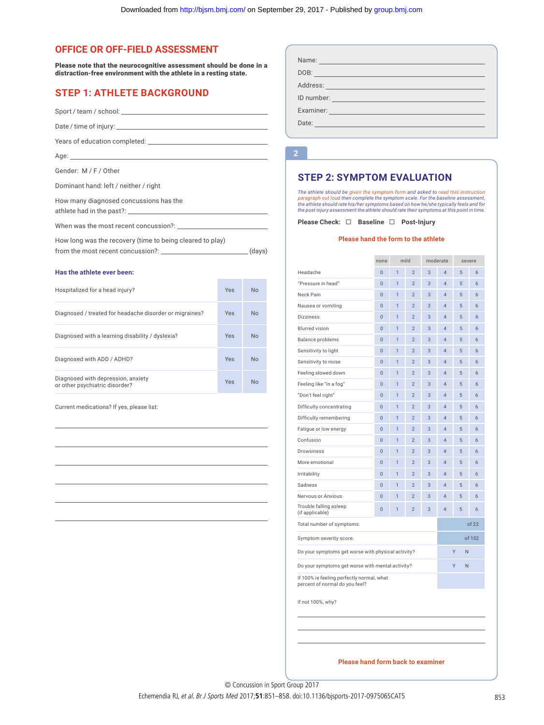### **OFFICE OR OFF-FIELD ASSESSMENT**

Please note that the neurocognitive assessment should be done in a distraction-free environment with the athlete in a resting state.

### **STEP 1: ATHLETE BACKGROUND**

Sport / team / school:

Date / time of injury:

Years of education completed: \_\_

Age:

Gender: M / F / Other

Dominant hand: left / neither / right

How many diagnosed concussions has the

athlete had in the past?:

When was the most recent concussion?: \_\_

How long was the recovery (time to being cleared to play)

from the most recent concussion?: \_\_\_\_\_\_\_\_\_\_\_\_\_\_\_\_\_\_\_\_\_\_\_\_\_\_\_\_\_\_\_\_\_\_\_(days)

#### **Has the athlete ever been:**

| Hospitalized for a head injury?                                      | Yes | <b>No</b> |
|----------------------------------------------------------------------|-----|-----------|
| Diagnosed / treated for headache disorder or migraines?              | Yes | <b>No</b> |
| Diagnosed with a learning disability / dyslexia?                     | Yes | <b>No</b> |
| Diagnosed with ADD / ADHD?                                           | Yes | <b>No</b> |
| Diagnosed with depression, anxiety<br>or other psychiatric disorder? | Yes | <b>No</b> |

Current medications? If yes, please list:

| Name:<br><u> 1989 - Johann Barnett, mars fyrst og det forskellige og det forskellige og det forskellige og det forskellige</u>     |
|------------------------------------------------------------------------------------------------------------------------------------|
| DOB:<br>the control of the control of the control of the control of the control of the control of                                  |
|                                                                                                                                    |
| ID number:<br><u> 1989 - Johann Barn, mars eta bainar eta idazlea (h. 1989).</u>                                                   |
| Examiner:<br><u> 1999 - Johann Barnett, mars et al. 1999 - Paris et al. 1999 - Paris et al. 1999 - Paris et al. 1999 - Paris e</u> |
| Date:                                                                                                                              |

### **STEP 2: SYMPTOM EVALUATION**

#### **Please hand the form to the athlete**

| tive assessment should be done in a       |     |           | Name: Name: Name: Name: Name: Name: Name: Name: Name: Name: Name: Name: Name: Name: Name: Name: Name: Name: Name: Name: Name: Name: Name: Name: Name: Name: Name: Name: Name: Name: Name: Name: Name: Name: Name: Name: Name:                                        |                      |                              |                                  |            |                                  |                |        |
|-------------------------------------------|-----|-----------|----------------------------------------------------------------------------------------------------------------------------------------------------------------------------------------------------------------------------------------------------------------------|----------------------|------------------------------|----------------------------------|------------|----------------------------------|----------------|--------|
| h the athlete in a resting state.         |     |           |                                                                                                                                                                                                                                                                      |                      |                              |                                  |            |                                  |                |        |
| <b>CKGROUND</b>                           |     |           | Address: Address: Address: Address: Address: Address: Address: Address: Address: Address: Address: A                                                                                                                                                                 |                      |                              |                                  |            |                                  |                |        |
|                                           |     |           | ID number: <u>contract the contract of the contract of the contract of the contract of the contract of the contract of the contract of the contract of the contract of the contract of the contract of the contract of the contr</u>                                 |                      |                              |                                  |            |                                  |                |        |
|                                           |     |           | Examiner: <b>Examiner</b> and the second contract of the second contract of the second contract of the second contract of the second contract of the second contract of the second contract of the second contract of the second co                                  |                      |                              |                                  |            |                                  |                |        |
|                                           |     |           |                                                                                                                                                                                                                                                                      |                      |                              |                                  |            |                                  |                |        |
|                                           |     |           |                                                                                                                                                                                                                                                                      |                      |                              |                                  |            |                                  |                |        |
|                                           |     |           | $\overline{2}$                                                                                                                                                                                                                                                       |                      |                              |                                  |            |                                  |                |        |
|                                           |     |           |                                                                                                                                                                                                                                                                      |                      |                              |                                  |            |                                  |                |        |
|                                           |     |           | <b>STEP 2: SYMPTOM EVALUATION</b>                                                                                                                                                                                                                                    |                      |                              |                                  |            |                                  |                |        |
|                                           |     |           | The athlete should be given the symptom form and asked to read this instruction                                                                                                                                                                                      |                      |                              |                                  |            |                                  |                |        |
| s has the                                 |     |           | paragraph out loud then complete the symptom scale. For the baseline assessment,<br>the athlete should rate his/her symptoms based on how he/she typically feels and for<br>the post injury assessment the athlete should rate their symptoms at this point in time. |                      |                              |                                  |            |                                  |                |        |
| ssion?: _________________________________ |     |           | Please Check: $\Box$ Baseline $\Box$ Post-Injury                                                                                                                                                                                                                     |                      |                              |                                  |            |                                  |                |        |
|                                           |     |           |                                                                                                                                                                                                                                                                      |                      |                              |                                  |            |                                  |                |        |
| to being cleared to play)                 |     |           | Please hand the form to the athlete                                                                                                                                                                                                                                  |                      |                              |                                  |            |                                  |                |        |
| $\mathbb{R}^2$ : $\qquad \qquad$ (days)   |     |           |                                                                                                                                                                                                                                                                      | none                 |                              | mild                             |            | moderate                         |                | severe |
|                                           |     |           | Headache                                                                                                                                                                                                                                                             | $\mathbf 0$          | $\mathbf{1}$                 | $\overline{2}$                   | 3          | 4                                | 5              | 6      |
|                                           |     |           | "Pressure in head"                                                                                                                                                                                                                                                   | $\mathbf 0$          | $\mathbf{1}$                 | $\overline{2}$                   | $\sqrt{3}$ | 4                                | 5              | 6      |
|                                           | Yes | No        | Neck Pain                                                                                                                                                                                                                                                            | $\mathbf 0$          | $\mathbf{1}$                 | $\overline{2}$                   | 3          | $\overline{4}$                   | $\overline{5}$ | 6      |
|                                           |     |           | Nausea or vomiting                                                                                                                                                                                                                                                   | $\bf 0$              | $\mathbf{1}$                 | $\overline{2}$                   | 3          | 4                                | 5              | 6      |
| rder or migraines?                        | Yes | No        | <b>Dizziness</b>                                                                                                                                                                                                                                                     | $\bf 0$              | $\mathbf{1}$                 | $\overline{2}$                   | 3          | 4                                | 5              | 6      |
|                                           |     |           | <b>Blurred vision</b>                                                                                                                                                                                                                                                | $\mathbf 0$          | $\mathbf{1}$                 | $\overline{2}$                   | 3          | 4                                | 5              | 6      |
| dyslexia?                                 | Yes | No        | Balance problems                                                                                                                                                                                                                                                     | $\mathbf 0$          | $\mathbf{1}$                 | $\overline{2}$                   | 3          | 4                                | 5              | 6      |
|                                           |     |           | Sensitivity to light                                                                                                                                                                                                                                                 | $\mathbf 0$          | $\mathbf{1}$                 | $\overline{2}$                   | 3          | 4                                | 5              | 6      |
|                                           | Yes | No        | Sensitivity to noise                                                                                                                                                                                                                                                 | $\bf{0}$             | $\mathbf{1}$                 | $\overline{2}$                   | 3          | $\overline{4}$                   | 5              | 6      |
|                                           | Yes | <b>No</b> | Feeling slowed down                                                                                                                                                                                                                                                  | $\bf 0$              | $\mathbf{1}$                 | $\overline{2}$                   | $\sqrt{3}$ | $\overline{4}$                   | $\overline{5}$ | 6      |
|                                           |     |           | Feeling like "in a fog"                                                                                                                                                                                                                                              | $\bf 0$              | $\mathbf{1}$                 | $\overline{2}$                   | $\sqrt{3}$ | $\overline{4}$                   | $\overline{5}$ | 6      |
|                                           |     |           | "Don't feel right"                                                                                                                                                                                                                                                   | $\bf{0}$             | $\mathbf{1}$                 | $\overline{2}$                   | 3          | $\overline{4}$                   | 5              | 6      |
|                                           |     |           | Difficulty concentrating<br>Difficulty remembering                                                                                                                                                                                                                   | $\bf{0}$<br>$\bf{0}$ | $\mathbf{1}$<br>$\mathbf{1}$ | $\overline{2}$<br>$\overline{2}$ | 3<br>3     | $\overline{4}$<br>$\overline{4}$ | 5<br>5         | 6<br>6 |
|                                           |     |           | Fatigue or low energy                                                                                                                                                                                                                                                | $\bf{0}$             | $\mathbf{1}$                 | $\overline{2}$                   | 3          | $\overline{4}$                   | $\overline{5}$ | 6      |
|                                           |     |           | Confusion                                                                                                                                                                                                                                                            | $\bf 0$              | $\mathbf{1}$                 | $\overline{2}$                   | $\sqrt{3}$ | $\overline{4}$                   | $\overline{5}$ | 6      |
|                                           |     |           | Drowsiness                                                                                                                                                                                                                                                           | $\bf 0$              | $\mathbf{1}$                 | $\overline{2}$                   | $\sqrt{3}$ | $\overline{4}$                   | $\overline{5}$ | 6      |
|                                           |     |           | More emotional                                                                                                                                                                                                                                                       | $\bf 0$              | $\mathbf{1}$                 | $\overline{2}$                   | $\sqrt{3}$ | $\overline{4}$                   | $\overline{5}$ | 6      |
|                                           |     |           | Irritability                                                                                                                                                                                                                                                         | $\bf 0$              | $\mathbf{1}$                 | $\overline{2}$                   | 3          | 4                                | 5              | 6      |
|                                           |     |           | Sadness                                                                                                                                                                                                                                                              | $\bf 0$              | 1                            | $\overline{2}$                   | 3          | $\overline{4}$                   | 5              | 6      |
|                                           |     |           | Nervous or Anxious                                                                                                                                                                                                                                                   | $\mathbf 0$          | $\mathbf{1}$                 | $\overline{2}$                   | 3          | $\overline{4}$                   | 5              | 6      |
|                                           |     |           | Trouble falling asleep<br>(if applicable)                                                                                                                                                                                                                            | $\pmb{0}$            | 1                            | $\overline{2}$                   | 3          | $\overline{4}$                   | 5              | 6      |
|                                           |     |           | Total number of symptoms:                                                                                                                                                                                                                                            |                      |                              |                                  |            |                                  |                | of 22  |
|                                           |     |           | Symptom severity score:                                                                                                                                                                                                                                              |                      |                              |                                  |            |                                  |                | of 132 |
|                                           |     |           |                                                                                                                                                                                                                                                                      |                      |                              |                                  |            |                                  | Υ<br>N         |        |
|                                           |     |           | Do your symptoms get worse with physical activity?                                                                                                                                                                                                                   |                      |                              |                                  |            |                                  |                |        |
|                                           |     |           | Do your symptoms get worse with mental activity?                                                                                                                                                                                                                     |                      |                              |                                  |            |                                  | Y<br>N         |        |
|                                           |     |           | If 100% is feeling perfectly normal, what<br>percent of normal do you feel?                                                                                                                                                                                          |                      |                              |                                  |            |                                  |                |        |
|                                           |     |           | If not 100%, why?                                                                                                                                                                                                                                                    |                      |                              |                                  |            |                                  |                |        |
|                                           |     |           |                                                                                                                                                                                                                                                                      |                      |                              |                                  |            |                                  |                |        |
|                                           |     |           |                                                                                                                                                                                                                                                                      |                      |                              |                                  |            |                                  |                |        |
|                                           |     |           | <b>Please hand form back to examiner</b>                                                                                                                                                                                                                             |                      |                              |                                  |            |                                  |                |        |
|                                           |     |           |                                                                                                                                                                                                                                                                      |                      |                              |                                  |            |                                  |                |        |
|                                           |     |           |                                                                                                                                                                                                                                                                      |                      |                              |                                  |            |                                  |                |        |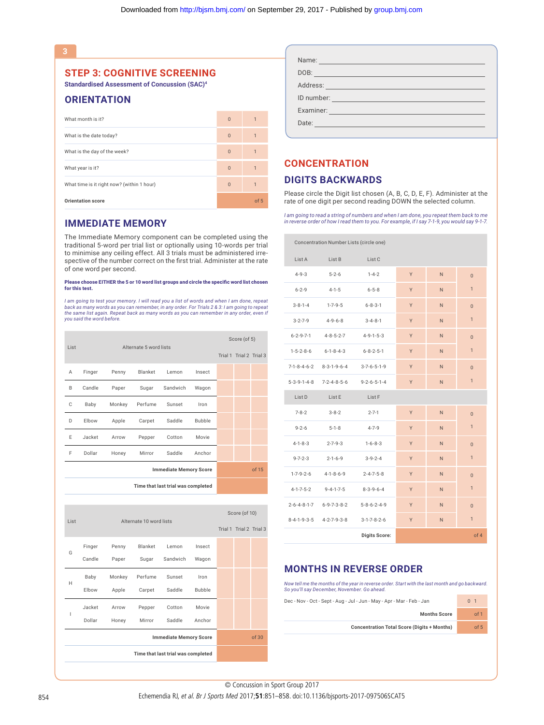**STEP 3: COGNITIVE SCREENING**

**Standardised Assessment of Concussion (SAC)4**

### **ORIENTATION**

| What month is it?                          | $\Omega$ | $\overline{1}$ |
|--------------------------------------------|----------|----------------|
| What is the date today?                    | $\Omega$ | 1              |
| What is the day of the week?               | $\Omega$ |                |
| What year is it?                           | $\Omega$ |                |
| What time is it right now? (within 1 hour) | $\Omega$ |                |
| <b>Orientation score</b>                   |          | of 5           |

### **IMMEDIATE MEMORY**

The Immediate Memory component can be completed using the traditional 5-word per trial list or optionally using 10-words per trial to minimise any ceiling effect. All 3 trials must be administered irrespective of the number correct on the first trial. Administer at the rate of one word per second.

#### Please choose EITHER the 5 or 10 word list groups and circle the specific word list chosen for this test.

*I am going to test your memory. I will read you a list of words and when I am done, repeat back as many words as you can remember, in any order. For Trials 2 & 3: I am going to repeat the same list again. Repeat back as many words as you can remember in any order, even if you said the word before.*

| List |        |                        | Score (of 5) |                                    |               |  |       |
|------|--------|------------------------|--------------|------------------------------------|---------------|--|-------|
|      |        | Alternate 5 word lists |              | Trial 1 Trial 2 Trial 3            |               |  |       |
| Α    | Finger | Penny                  | Blanket      | Lemon                              | Insect        |  |       |
| B    | Candle | Paper                  | Sugar        | Sandwich                           | Wagon         |  |       |
| C    | Baby   | Monkey                 | Perfume      | Sunset                             | Iron          |  |       |
| D    | Elbow  | Apple                  | Carpet       | Saddle                             | <b>Bubble</b> |  |       |
| E    | Jacket | Arrow                  | Pepper       | Cotton                             | Movie         |  |       |
| F    | Dollar | Honey                  | Mirror       | Saddle                             | Anchor        |  |       |
|      |        |                        |              | <b>Immediate Memory Score</b>      |               |  | of 15 |
|      |        |                        |              | Time that last trial was completed |               |  |       |

| List |        | Alternate 10 word lists |         | Score (of 10)                      |               |                         |       |
|------|--------|-------------------------|---------|------------------------------------|---------------|-------------------------|-------|
|      |        |                         |         |                                    |               | Trial 1 Trial 2 Trial 3 |       |
| G    | Finger | Penny                   | Blanket | Lemon                              | Insect        |                         |       |
|      | Candle | Paper                   | Sugar   | Sandwich                           | Wagon         |                         |       |
| Н    | Baby   | Monkey                  | Perfume | Sunset                             | Iron          |                         |       |
|      | Elbow  | Apple                   | Carpet  | Saddle                             | <b>Bubble</b> |                         |       |
| I    | Jacket | Arrow                   | Pepper  | Cotton                             | Movie         |                         |       |
|      | Dollar | Honey                   | Mirror  | Saddle                             | Anchor        |                         |       |
|      |        |                         |         | <b>Immediate Memory Score</b>      |               |                         | of 30 |
|      |        |                         |         | Time that last trial was completed |               |                         |       |

| Name:      |                                                  |  |  |
|------------|--------------------------------------------------|--|--|
| DOB:       |                                                  |  |  |
|            |                                                  |  |  |
| ID number: |                                                  |  |  |
| Examiner:  |                                                  |  |  |
| Date:      | and the company of the company of the company of |  |  |

### **CONCENTRATION**

### **DIGITS BACKWARDS**

Please circle the Digit list chosen (A, B, C, D, E, F). Administer at the rate of one digit per second reading DOWN the selected column.

*I am going to read a string of numbers and when I am done, you repeat them back to me in reverse order of how I read them to you. For example, if I say 7-1-9, you would say 9-1-7.*

|                         | Concentration Number Lists (circle one) |                         |   |    |                |
|-------------------------|-----------------------------------------|-------------------------|---|----|----------------|
| List A                  | List B                                  | List <sub>C</sub>       |   |    |                |
| $4 - 9 - 3$             | $5 - 2 - 6$                             | $1 - 4 - 2$             | Y | N. | $\Omega$       |
| $6 - 2 - 9$             | $4 - 1 - 5$                             | $6 - 5 - 8$             | Y | N  | $\mathbf{1}$   |
| $3 - 8 - 1 - 4$         | $1 - 7 - 9 - 5$                         | $6 - 8 - 3 - 1$         | Y | N  | $\Omega$       |
| $3 - 2 - 7 - 9$         | $4 - 9 - 6 - 8$                         | $3 - 4 - 8 - 1$         | Y | N  | $\mathbf{1}$   |
| $6 - 2 - 9 - 7 - 1$     | $4 - 8 - 5 - 2 - 7$                     | $4 - 9 - 1 - 5 - 3$     | Y | N  | $\Omega$       |
| $1 - 5 - 2 - 8 - 6$     | $6 - 1 - 8 - 4 - 3$                     | $6 - 8 - 2 - 5 - 1$     | Y | N  | $\mathbf{1}$   |
| 7-1-8-4-6-2             | $8 - 3 - 1 - 9 - 6 - 4$                 | $3 - 7 - 6 - 5 - 1 - 9$ | Y | N  | $\Omega$       |
| $5 - 3 - 9 - 1 - 4 - 8$ | $7 - 2 - 4 - 8 - 5 - 6$                 | $9 - 2 - 6 - 5 - 1 - 4$ | Y | N  | $\mathbf{1}$   |
| List D                  | List E                                  | List F                  |   |    |                |
| $7 - 8 - 2$             | $3 - 8 - 2$                             | $2 - 7 - 1$             | Y | N  | $\Omega$       |
| $9 - 2 - 6$             | $5 - 1 - 8$                             | $4 - 7 - 9$             | Y | N  | $\mathbf{1}$   |
| $4 - 1 - 8 - 3$         | $2 - 7 - 9 - 3$                         | $1 - 6 - 8 - 3$         | Y | N  | $\Omega$       |
| $9 - 7 - 2 - 3$         | $2 - 1 - 6 - 9$                         | $3 - 9 - 2 - 4$         | Y | N  | $\mathbf{1}$   |
| $1 - 7 - 9 - 2 - 6$     | $4 - 1 - 8 - 6 - 9$                     | $2 - 4 - 7 - 5 - 8$     | Y | N  | $\Omega$       |
| $4 - 1 - 7 - 5 - 2$     | $9 - 4 - 1 - 7 - 5$                     | $8 - 3 - 9 - 6 - 4$     | Y | N  | $\mathbf{1}$   |
|                         | 2-6-4-8-1-7 6-9-7-3-8-2                 | $5 - 8 - 6 - 2 - 4 - 9$ | Y | N  | $\overline{0}$ |
| $8 - 4 - 1 - 9 - 3 - 5$ | 4-2-7-9-3-8                             | $3-1-7-8-2-6$           | Y | N  | $\mathbf{1}$   |
|                         |                                         | <b>Digits Score:</b>    |   |    | of 4           |

### **MONTHS IN REVERSE ORDER**

*Now tell me the months of the year in reverse order. Start with the last month and go backward. So you'll say December, November. Go ahead.*

| Dec - Nov - Oct - Sept - Aug - Jul - Jun - May - Apr - Mar - Feb - Jan | 0 <sub>1</sub> |
|------------------------------------------------------------------------|----------------|
| <b>Months Score</b>                                                    | of 1           |
| <b>Concentration Total Score (Digits + Months)</b>                     | of 5           |
|                                                                        |                |

© Concussion in Sport Group 2017 © Concussion in Sport Group 2017

854 Echemendia RJ, et al. Br J Sports Med 2017;51:851-858. doi:10.1136/bjsports-2017-097506SCAT5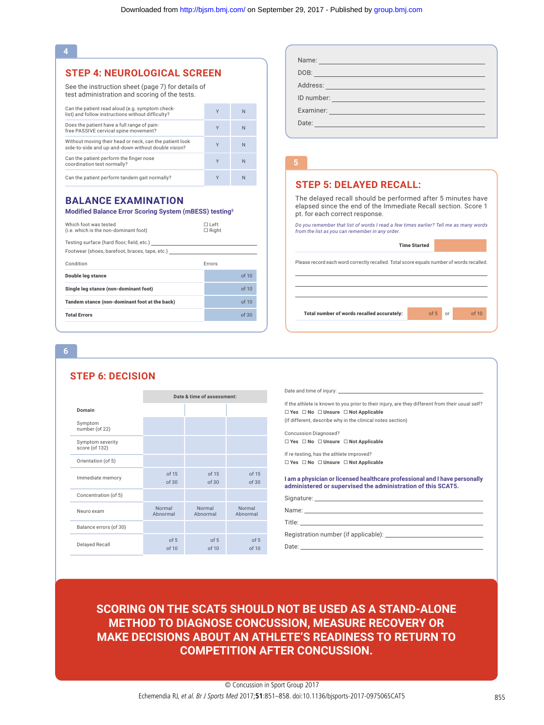#### **4**

### **STEP 4: NEUROLOGICAL SCREEN**

See the instruction sheet (page 7) for details of test administration and scoring of the tests.

| Can the patient read aloud (e.g. symptom check-<br>list) and follow instructions without difficulty?           | Υ | N |
|----------------------------------------------------------------------------------------------------------------|---|---|
| Does the patient have a full range of pain-<br>free PASSIVE cervical spine movement?                           | v | N |
| Without moving their head or neck, can the patient look<br>side-to-side and up-and-down without double vision? | v | N |
| Can the patient perform the finger nose<br>coordination test normally?                                         | v | N |
| Can the patient perform tandem gait normally?                                                                  | v | N |

### **BALANCE EXAMINATION**

#### **Modified Balance Error Scoring System (mBESS) testing5**

| Which foot was tested<br>(i.e. which is the non-dominant foot)                              | □ Left<br>$\Box$ Right |       |
|---------------------------------------------------------------------------------------------|------------------------|-------|
| Testing surface (hard floor, field, etc.)<br>Footwear (shoes, barefoot, braces, tape, etc.) |                        |       |
| Condition                                                                                   | Errors                 |       |
| <b>Double leg stance</b>                                                                    |                        | of 10 |
| Single leg stance (non-dominant foot)                                                       |                        | of 10 |
| Tandem stance (non-dominant foot at the back)                                               |                        | of 10 |
| <b>Total Errors</b>                                                                         |                        | of 30 |
|                                                                                             |                        |       |

# DOB: Address: ID number: Examiner: William School and Communication of the Communication of the Communication of the Communication of the Communication of the Communication of the Communication of the Communication of the Communication of the Comm Date:

### **STEP 5: DELAYED RECALL:**

|                                                                                          | <b>Time Started</b> |    |       |
|------------------------------------------------------------------------------------------|---------------------|----|-------|
| Please record each word correctly recalled. Total score equals number of words recalled. |                     |    |       |
|                                                                                          |                     |    |       |
|                                                                                          |                     |    |       |
| Total number of words recalled accurately:                                               | of 5                | or | of 10 |

#### **6**

### **STEP 6: DECISION**

|                                    | Date & time of assessment: |                    |                    |
|------------------------------------|----------------------------|--------------------|--------------------|
| Domain                             |                            |                    |                    |
| Symptom<br>number (of 22)          |                            |                    |                    |
| Symptom severity<br>score (of 132) |                            |                    |                    |
| Orientation (of 5)                 |                            |                    |                    |
| Immediate memory                   | of 15<br>of 30             | of 15<br>of 30     | of 15<br>of 30     |
| Concentration (of 5)               |                            |                    |                    |
| Neuro exam                         | Normal<br>Abnormal         | Normal<br>Abnormal | Normal<br>Abnormal |
| Balance errors (of 30)             |                            |                    |                    |
| <b>Delayed Recall</b>              | of 5<br>of 10              | of 5<br>of 10      | of 5<br>of 10      |

| <b>IICAL SCREEN</b><br>e 7) for details of<br>g of the tests.<br>m check-<br>iculty?<br>the patient look<br>louble vision?<br>rmally?<br>ATION<br>g System (mBESS) testing <sup>5</sup> | Y<br>Y<br>Y<br>Y<br>Y          | ${\sf N}$<br>$\mathsf{N}$ | DOB: Provided and the contract of the contract of the contract of the contract of the contract of the contract of the contract of the contract of the contract of the contract of the contract of the contract of the contract<br>Address: North Address: North Address: North Address: North Address: North Address: North Address: North Address: North Address: North Address: North Address: North Address: North Address: North Address: North Address: Nor<br>ID number: the contract of the contract of the contract of the contract of the contract of the contract of the<br>Examiner: All and the state of the state of the state of the state of the state of the state of the |
|-----------------------------------------------------------------------------------------------------------------------------------------------------------------------------------------|--------------------------------|---------------------------|-------------------------------------------------------------------------------------------------------------------------------------------------------------------------------------------------------------------------------------------------------------------------------------------------------------------------------------------------------------------------------------------------------------------------------------------------------------------------------------------------------------------------------------------------------------------------------------------------------------------------------------------------------------------------------------------|
|                                                                                                                                                                                         |                                |                           |                                                                                                                                                                                                                                                                                                                                                                                                                                                                                                                                                                                                                                                                                           |
|                                                                                                                                                                                         |                                |                           |                                                                                                                                                                                                                                                                                                                                                                                                                                                                                                                                                                                                                                                                                           |
|                                                                                                                                                                                         |                                |                           |                                                                                                                                                                                                                                                                                                                                                                                                                                                                                                                                                                                                                                                                                           |
|                                                                                                                                                                                         |                                |                           |                                                                                                                                                                                                                                                                                                                                                                                                                                                                                                                                                                                                                                                                                           |
|                                                                                                                                                                                         |                                |                           |                                                                                                                                                                                                                                                                                                                                                                                                                                                                                                                                                                                                                                                                                           |
|                                                                                                                                                                                         |                                | N                         |                                                                                                                                                                                                                                                                                                                                                                                                                                                                                                                                                                                                                                                                                           |
|                                                                                                                                                                                         |                                | N                         | 5                                                                                                                                                                                                                                                                                                                                                                                                                                                                                                                                                                                                                                                                                         |
|                                                                                                                                                                                         |                                | N                         |                                                                                                                                                                                                                                                                                                                                                                                                                                                                                                                                                                                                                                                                                           |
|                                                                                                                                                                                         |                                |                           | <b>STEP 5: DELAYED RECALL:</b>                                                                                                                                                                                                                                                                                                                                                                                                                                                                                                                                                                                                                                                            |
|                                                                                                                                                                                         |                                |                           | The delayed recall should be performed after 5 minutes have<br>elapsed since the end of the Immediate Recall section. Score 1<br>pt. for each correct response.                                                                                                                                                                                                                                                                                                                                                                                                                                                                                                                           |
|                                                                                                                                                                                         | $\square$ Left<br>$\Box$ Right |                           | Do you remember that list of words I read a few times earlier? Tell me as many words<br>from the list as you can remember in any order.                                                                                                                                                                                                                                                                                                                                                                                                                                                                                                                                                   |
| $eta$ , etc.)                                                                                                                                                                           |                                |                           | <b>Time Started</b>                                                                                                                                                                                                                                                                                                                                                                                                                                                                                                                                                                                                                                                                       |
|                                                                                                                                                                                         | Errors                         |                           | Please record each word correctly recalled. Total score equals number of words recalled.                                                                                                                                                                                                                                                                                                                                                                                                                                                                                                                                                                                                  |
|                                                                                                                                                                                         |                                | of 10                     |                                                                                                                                                                                                                                                                                                                                                                                                                                                                                                                                                                                                                                                                                           |
|                                                                                                                                                                                         |                                | of 10                     |                                                                                                                                                                                                                                                                                                                                                                                                                                                                                                                                                                                                                                                                                           |
| he back)                                                                                                                                                                                |                                | of 10                     |                                                                                                                                                                                                                                                                                                                                                                                                                                                                                                                                                                                                                                                                                           |
|                                                                                                                                                                                         |                                |                           | Total number of words recalled accurately:<br>of 5<br>of 10<br>or                                                                                                                                                                                                                                                                                                                                                                                                                                                                                                                                                                                                                         |
|                                                                                                                                                                                         |                                | of 30                     |                                                                                                                                                                                                                                                                                                                                                                                                                                                                                                                                                                                                                                                                                           |
|                                                                                                                                                                                         |                                |                           |                                                                                                                                                                                                                                                                                                                                                                                                                                                                                                                                                                                                                                                                                           |
|                                                                                                                                                                                         | Date & time of assessment:     |                           | If the athlete is known to you prior to their injury, are they different from their usual self?                                                                                                                                                                                                                                                                                                                                                                                                                                                                                                                                                                                           |
|                                                                                                                                                                                         |                                |                           | $\Box$ Yes $\Box$ No $\Box$ Unsure $\Box$ Not Applicable                                                                                                                                                                                                                                                                                                                                                                                                                                                                                                                                                                                                                                  |
|                                                                                                                                                                                         |                                |                           | (If different, describe why in the clinical notes section)<br><b>Concussion Diagnosed?</b>                                                                                                                                                                                                                                                                                                                                                                                                                                                                                                                                                                                                |
|                                                                                                                                                                                         |                                |                           | □ Yes □ No □ Unsure □ Not Applicable                                                                                                                                                                                                                                                                                                                                                                                                                                                                                                                                                                                                                                                      |
|                                                                                                                                                                                         |                                |                           | If re-testing, has the athlete improved?                                                                                                                                                                                                                                                                                                                                                                                                                                                                                                                                                                                                                                                  |
|                                                                                                                                                                                         |                                |                           | □ Yes □ No □ Unsure □ Not Applicable                                                                                                                                                                                                                                                                                                                                                                                                                                                                                                                                                                                                                                                      |
| of 15<br>of 30                                                                                                                                                                          | of 15<br>of 30                 | of 15<br>of 30            | I am a physician or licensed healthcare professional and I have personally<br>administered or supervised the administration of this SCAT5.                                                                                                                                                                                                                                                                                                                                                                                                                                                                                                                                                |
|                                                                                                                                                                                         |                                |                           |                                                                                                                                                                                                                                                                                                                                                                                                                                                                                                                                                                                                                                                                                           |
|                                                                                                                                                                                         | Normal                         | Normal                    | Name: We have a state of the state of the state of the state of the state of the state of the state of the state of the state of the state of the state of the state of the state of the state of the state of the state of th                                                                                                                                                                                                                                                                                                                                                                                                                                                            |
|                                                                                                                                                                                         | Abnormal                       | Abnormal                  | Title: The Company of the Company of the Company of the Company of the Company of the Company of the Company of the Company of the Company of the Company of the Company of the Company of the Company of the Company of the C                                                                                                                                                                                                                                                                                                                                                                                                                                                            |
| Normal<br>bnormal<br>of 5                                                                                                                                                               | of 5                           | of 5                      |                                                                                                                                                                                                                                                                                                                                                                                                                                                                                                                                                                                                                                                                                           |

## **SCORING ON THE SCAT5 SHOULD NOT BE USED AS A STAND-ALONE METHOD TO DIAGNOSE CONCUSSION, MEASURE RECOVERY OR MAKE DECISIONS ABOUT AN ATHLETE'S READINESS TO RETURN TO COMPETITION AFTER CONCUSSION.**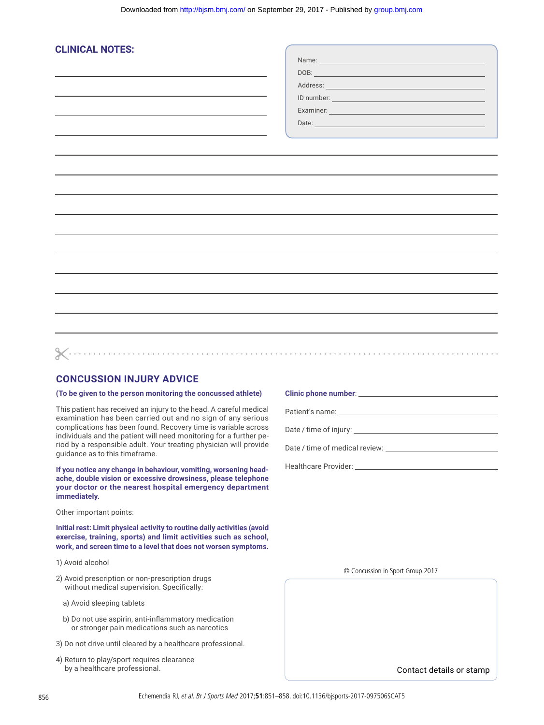| <b>CLINICAL NOTES:</b> |                                                                                                                                                                                                                                      |  |
|------------------------|--------------------------------------------------------------------------------------------------------------------------------------------------------------------------------------------------------------------------------------|--|
|                        | Name: Name: Name: Name: Name: Name: Name: Name: Name: Name: Name: Name: Name: Name: Name: Name: Name: Name: Name: Name: Name: Name: Name: Name: Name: Name: Name: Name: Name: Name: Name: Name: Name: Name: Name: Name: Name:        |  |
|                        | DOB: <u>Andrea Maria and American and American and American and American and American and American and American and American and American and American and American and American and American and American and American and Amer</u> |  |
|                        |                                                                                                                                                                                                                                      |  |
|                        | ID number: <u>contract the contract of the contract of the contract of the contract of the contract of the contract of the contract of the contract of the contract of the contract of the contract of the contract of the contr</u> |  |
|                        | Examiner: <b>Examiner:</b>                                                                                                                                                                                                           |  |
|                        |                                                                                                                                                                                                                                      |  |
|                        |                                                                                                                                                                                                                                      |  |
|                        |                                                                                                                                                                                                                                      |  |
|                        |                                                                                                                                                                                                                                      |  |
|                        |                                                                                                                                                                                                                                      |  |
|                        |                                                                                                                                                                                                                                      |  |
|                        |                                                                                                                                                                                                                                      |  |
|                        |                                                                                                                                                                                                                                      |  |
|                        |                                                                                                                                                                                                                                      |  |
|                        |                                                                                                                                                                                                                                      |  |
|                        |                                                                                                                                                                                                                                      |  |
|                        |                                                                                                                                                                                                                                      |  |
|                        |                                                                                                                                                                                                                                      |  |
|                        |                                                                                                                                                                                                                                      |  |
|                        |                                                                                                                                                                                                                                      |  |
|                        |                                                                                                                                                                                                                                      |  |
|                        |                                                                                                                                                                                                                                      |  |
|                        |                                                                                                                                                                                                                                      |  |
|                        |                                                                                                                                                                                                                                      |  |
|                        |                                                                                                                                                                                                                                      |  |

### **CONCUSSION INJURY ADVICE**

### **(To be given to the person monitoring the concussed athlete)**

This patient has received an injury to the head. A careful medical examination has been carried out and no sign of any serious complications has been found. Recovery time is variable across individuals and the patient will need monitoring for a further period by a responsible adult. Your treating physician will provide guidance as to this timeframe.

**If you notice any change in behaviour, vomiting, worsening headache, double vision or excessive drowsiness, please telephone your doctor or the nearest hospital emergency department immediately.**

Other important points:

**Initial rest: Limit physical activity to routine daily activities (avoid exercise, training, sports) and limit activities such as school, work, and screen time to a level that does not worsen symptoms.**

- 1) Avoid alcohol
- 2) Avoid prescription or non-prescription drugs without medical supervision. Specifically:
	- a) Avoid sleeping tablets
	- b) Do not use aspirin, anti-inflammatory medication or stronger pain medications such as narcotics
- 3) Do not drive until cleared by a healthcare professional.
- 4) Return to play/sport requires clearance by a healthcare professional.

**Clinic phone number**: Patient's name: Date / time of injury:

Date / time of medical review:

Healthcare Provider:

© Concussion in Sport Group 2017

Contact details or stamp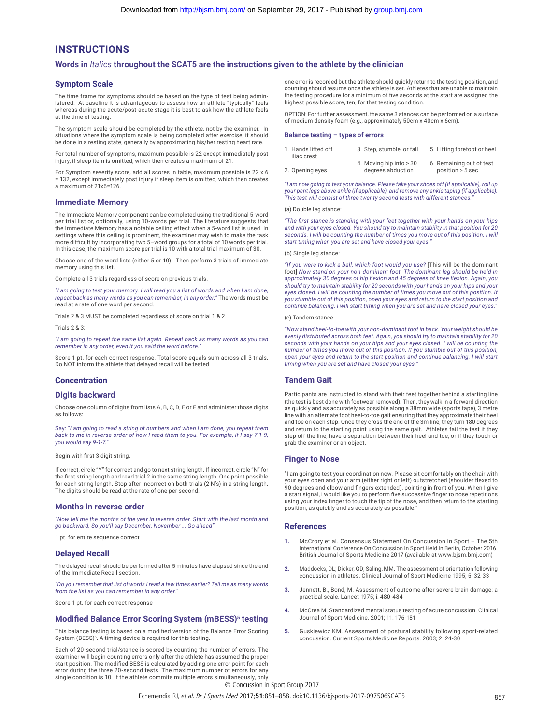### **INSTRUCTIONS**

#### **Words in** *Italics* **throughout the SCAT5 are the instructions given to the athlete by the clinician**

#### **Symptom Scale**

The time frame for symptoms should be based on the type of test being administered. At baseline it is advantageous to assess how an athlete "typically" feels whereas during the acute/post-acute stage it is best to ask how the athlete feels at the time of testing.

The symptom scale should be completed by the athlete, not by the examiner. In situations where the symptom scale is being completed after exercise, it should be done in a resting state, generally by approximating his/her resting heart rate.

For total number of symptoms, maximum possible is 22 except immediately post injury, if sleep item is omitted, which then creates a maximum of 21.

For Symptom severity score, add all scores in table, maximum possible is 22 x 6 = 132, except immediately post injury if sleep item is omitted, which then creates a maximum of 21x6=126.

#### **Immediate Memory**

The Immediate Memory component can be completed using the traditional 5-word per trial list or, optionally, using 10-words per trial. The literature suggests that the Immediate Memory has a notable ceiling effect when a 5-word list is used. In settings where this ceiling is prominent, the examiner may wish to make the task more difficult by incorporating two 5–word groups for a total of 10 words per trial. In this case, the maximum score per trial is 10 with a total trial maximum of 30.

Choose one of the word lists (either 5 or 10). Then perform 3 trials of immediate memory using this list.

Complete all 3 trials regardless of score on previous trials.

*"I am going to test your memory. I will read you a list of words and when I am done, repeat back as many words as you can remember, in any order."* The words must be read at a rate of one word per second.

Trials 2 & 3 MUST be completed regardless of score on trial 1 & 2.

Trials 2 & 3:

*"I am going to repeat the same list again. Repeat back as many words as you can remember in any order, even if you said the word before."*

Score 1 pt. for each correct response. Total score equals sum across all 3 trials. Do NOT inform the athlete that delayed recall will be tested.

#### **Concentration**

#### **Digits backward**

Choose one column of digits from lists A, B, C, D, E or F and administer those digits as follows:

Say: *"I am going to read a string of numbers and when I am done, you repeat them back to me in reverse order of how I read them to you. For example, if I say 7-1-9, you would say 9-1-7."* 

Begin with first 3 digit string.

If correct, circle "Y" for correct and go to next string length. If incorrect, circle "N" for the first string length and read trial 2 in the same string length. One point possible for each string length. Stop after incorrect on both trials (2 N's) in a string length. The digits should be read at the rate of one per second.

#### **Months in reverse order**

*"Now tell me the months of the year in reverse order. Start with the last month and go backward. So you'll say December, November ... Go ahead"*

1 pt. for entire sequence correct

#### **Delayed Recall**

The delayed recall should be performed after 5 minutes have elapsed since the end of the Immediate Recall section.

*"Do you remember that list of words I read a few times earlier? Tell me as many words from the list as you can remember in any order."* 

Score 1 pt. for each correct response

#### **Modified Balance Error Scoring System (mBESS)5 testing**

This balance testing is based on a modified version of the Balance Error Scoring System (BESS)<sup>5</sup>. A timing device is required for this testing.

Each of 20-second trial/stance is scored by counting the number of errors. The examiner will begin counting errors only after the athlete has assumed the proper start position. The modified BESS is calculated by adding one error point for each error during the three 20-second tests. The maximum number of errors for any single condition is 10. If the athlete commits multiple errors simultaneously, only

one error is recorded but the athlete should quickly return to the testing position, and counting should resume once the athlete is set. Athletes that are unable to maintain the testing procedure for a minimum of five seconds at the start are assigned the highest possible score, ten, for that testing condition.

OPTION: For further assessment, the same 3 stances can be performed on a surface of medium density foam (e.g., approximately 50cm x 40cm x 6cm).

#### **Balance testing – types of errors**

| 1. Hands lifted off<br>iliac crest | 3. Step, stumble, or fall                    | 5. Lifting forefoot or heel                  |
|------------------------------------|----------------------------------------------|----------------------------------------------|
| 2. Opening eyes                    | 4. Moving hip into > 30<br>degrees abduction | 6. Remaining out of test<br>position > 5 sec |

*"I am now going to test your balance. Please take your shoes off (if applicable), roll up your pant legs above ankle (if applicable), and remove any ankle taping (if applicable). This test will consist of three twenty second tests with different stances."*

#### (a) Double leg stance:

*"The first stance is standing with your feet together with your hands on your hips*  and with your eyes closed. You should try to maintain stability in that position for 20<br>seconds. I will be counting the number of times you move out of this position. I will *start timing when you are set and have closed your eyes."*

#### (b) Single leg stance:

*"If you were to kick a ball, which foot would you use?* [This will be the dominant foot] Now stand on your non-dominant foot. The dominant leg should be held in<br>approximately 30 degrees of hip flexion and 45 degrees of knee flexion. Again, you<br>should try to maintain stability for 20 seconds with your han **eyes closed.** I will be counting the number of times you move out of this position. If *you stumble out of this position, open your eyes and return to the start position and continue balancing. I will start timing when you are set and have closed your eyes."* 

#### (c) Tandem stance:

*"Now stand heel-to-toe with your non-dominant foot in back. Your weight should be evenly distributed across both feet. Again, you should try to maintain stability for 20 seconds with your hands on your hips and your eyes closed. I will be counting the number of times you move out of this position. If you stumble out of this position, open your eyes and return to the start position and continue balancing. I will start timing when you are set and have closed your eyes."*

#### **Tandem Gait**

Participants are instructed to stand with their feet together behind a starting line (the test is best done with footwear removed). Then, they walk in a forward direction as quickly and as accurately as possible along a 38mm wide (sports tape), 3 metre line with an alternate foot heel-to-toe gait ensuring that they approximate their heel and toe on each step. Once they cross the end of the 3m line, they turn 180 degrees and return to the starting point using the same gait. Athletes fail the test if they step off the line, have a separation between their heel and toe, or if they touch or grab the examiner or an object.

#### **Finger to Nose**

"I am going to test your coordination now. Please sit comfortably on the chair with your eyes open and your arm (either right or left) outstretched (shoulder flexed to 90 degrees and elbow and fingers extended), pointing in front of you. When I give a start signal, I would like you to perform five successive finger to nose repetitions using your index finger to touch the tip of the nose, and then return to the starting position, as quickly and as accurately as possible."

#### **References**

- **1.** McCrory et al. Consensus Statement On Concussion In Sport The 5th International Conference On Concussion In Sport Held In Berlin, October 2016. British Journal of Sports Medicine 2017 (available at www.bjsm.bmj.com)
- **2.** Maddocks, DL; Dicker, GD; Saling, MM. The assessment of orientation following concussion in athletes. Clinical Journal of Sport Medicine 1995; 5: 32-33
- **3.** Jennett, B., Bond, M. Assessment of outcome after severe brain damage: a practical scale. Lancet 1975; i: 480-484
- **4.** McCrea M. Standardized mental status testing of acute concussion. Clinical Journal of Sport Medicine. 2001; 11: 176-181
- **5.** Guskiewicz KM. Assessment of postural stability following sport-related concussion. Current Sports Medicine Reports. 2003; 2: 24-30

© Concussion in Sport Group 2017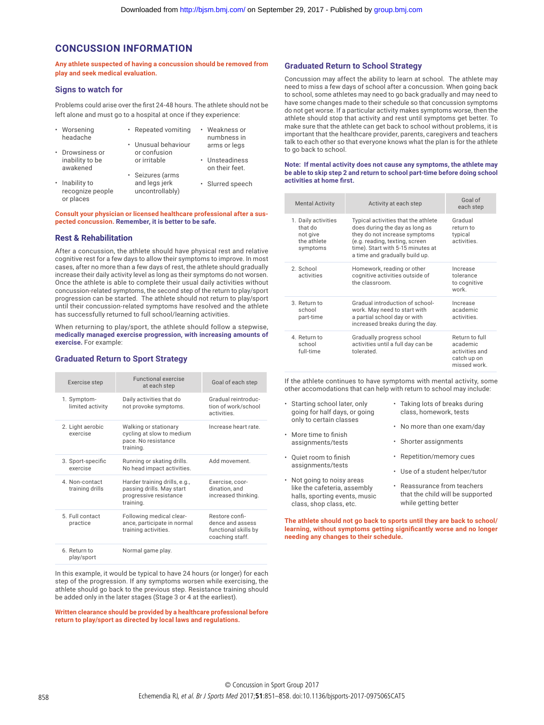### **CONCUSSION INFORMATION**

**Any athlete suspected of having a concussion should be removed from play and seek medical evaluation.**

#### **Signs to watch for**

Problems could arise over the first 24-48 hours. The athlete should not be left alone and must go to a hospital at once if they experience:

| • Worsening<br>headache            | • Repeated vomiting              | Weakness or<br>numbness in       |
|------------------------------------|----------------------------------|----------------------------------|
|                                    | • Unusual behaviour              | arms or legs                     |
| Drowsiness or                      | or confusion                     |                                  |
| inability to be<br>awakened        | or irritable                     | • Unsteadiness<br>on their feet. |
|                                    | · Seizures (arms                 |                                  |
| · Inability to<br>recognize people | and legs jerk<br>uncontrollably) | · Slurred speech                 |

**Consult your physician or licensed healthcare professional after a suspected concussion. Remember, it is better to be safe.**

#### **Rest & Rehabilitation**

or places

After a concussion, the athlete should have physical rest and relative cognitive rest for a few days to allow their symptoms to improve. In most cases, after no more than a few days of rest, the athlete should gradually increase their daily activity level as long as their symptoms do not worsen. Once the athlete is able to complete their usual daily activities without concussion-related symptoms, the second step of the return to play/sport progression can be started. The athlete should not return to play/sport until their concussion-related symptoms have resolved and the athlete has successfully returned to full school/learning activities.

When returning to play/sport, the athlete should follow a stepwise, **medically managed exercise progression, with increasing amounts of exercise.** For example:

#### **Graduated Return to Sport Strategy**

| Exercise step                    | <b>Functional exercise</b><br>at each step                                                        | Goal of each step                                                             |
|----------------------------------|---------------------------------------------------------------------------------------------------|-------------------------------------------------------------------------------|
| 1. Symptom-<br>limited activity  | Daily activities that do<br>not provoke symptoms.                                                 | Gradual reintroduc-<br>tion of work/school<br>activities.                     |
| 2. Light aerobic<br>exercise     | Walking or stationary<br>cycling at slow to medium<br>pace. No resistance<br>training.            | Increase heart rate                                                           |
| 3. Sport-specific<br>exercise    | Running or skating drills.<br>No head impact activities.                                          | Add movement.                                                                 |
| 4 Non-contact<br>training drills | Harder training drills, e.g.,<br>passing drills. May start<br>progressive resistance<br>training. | Exercise, coor-<br>dination, and<br>increased thinking.                       |
| 5. Full contact<br>practice      | Following medical clear-<br>ance, participate in normal<br>training activities.                   | Restore confi-<br>dence and assess<br>functional skills by<br>coaching staff. |
| 6. Return to<br>play/sport       | Normal game play.                                                                                 |                                                                               |

In this example, it would be typical to have 24 hours (or longer) for each step of the progression. If any symptoms worsen while exercising, the athlete should go back to the previous step. Resistance training should be added only in the later stages (Stage 3 or 4 at the earliest).

**Written clearance should be provided by a healthcare professional before return to play/sport as directed by local laws and regulations.**

### **Graduated Return to School Strategy**

Concussion may affect the ability to learn at school. The athlete may need to miss a few days of school after a concussion. When going back to school, some athletes may need to go back gradually and may need to have some changes made to their schedule so that concussion symptoms do not get worse. If a particular activity makes symptoms worse, then the athlete should stop that activity and rest until symptoms get better. To make sure that the athlete can get back to school without problems, it is important that the healthcare provider, parents, caregivers and teachers talk to each other so that everyone knows what the plan is for the athlete to go back to school.

#### **Note: If mental activity does not cause any symptoms, the athlete may be able to skip step 2 and return to school part-time before doing school activities at home first.**

| <b>Mental Activity</b>                                                | Activity at each step                                                                                                                                                                                           | Goal of<br>each step                                                        |
|-----------------------------------------------------------------------|-----------------------------------------------------------------------------------------------------------------------------------------------------------------------------------------------------------------|-----------------------------------------------------------------------------|
| 1. Daily activities<br>that do<br>not give<br>the athlete<br>symptoms | Typical activities that the athlete<br>does during the day as long as<br>they do not increase symptoms<br>(e.g. reading, texting, screen<br>time). Start with 5-15 minutes at<br>a time and gradually build up. | Gradual<br>return to<br>typical<br>activities.                              |
| 2. School<br>activities                                               | Homework, reading or other<br>cognitive activities outside of<br>the classroom.                                                                                                                                 | Increase<br>tolerance<br>to cognitive<br>work.                              |
| 3. Return to<br>school<br>part-time                                   | Gradual introduction of school-<br>work. May need to start with<br>a partial school day or with<br>increased breaks during the day.                                                                             | Increase<br>academic<br>activities.                                         |
| 4. Return to<br>school<br>full-time                                   | Gradually progress school<br>activities until a full day can be<br>tolerated.                                                                                                                                   | Return to full<br>academic<br>activities and<br>catch up on<br>missed work. |

If the athlete continues to have symptoms with mental activity, some other accomodations that can help with return to school may include:

- Starting school later, only going for half days, or going only to certain classes • Taking lots of breaks during class, homework, tests
- More time to finish assignments/tests
- Quiet room to finish assignments/tests
- Not going to noisy areas like the cafeteria, assembly halls, sporting events, music class, shop class, etc.
- No more than one exam/day
- Shorter assignments
- Repetition/memory cues
- Use of a student helper/tutor
- Reassurance from teachers that the child will be supported while getting better

**The athlete should not go back to sports until they are back to school/ learning, without symptoms getting significantly worse and no longer needing any changes to their schedule.**